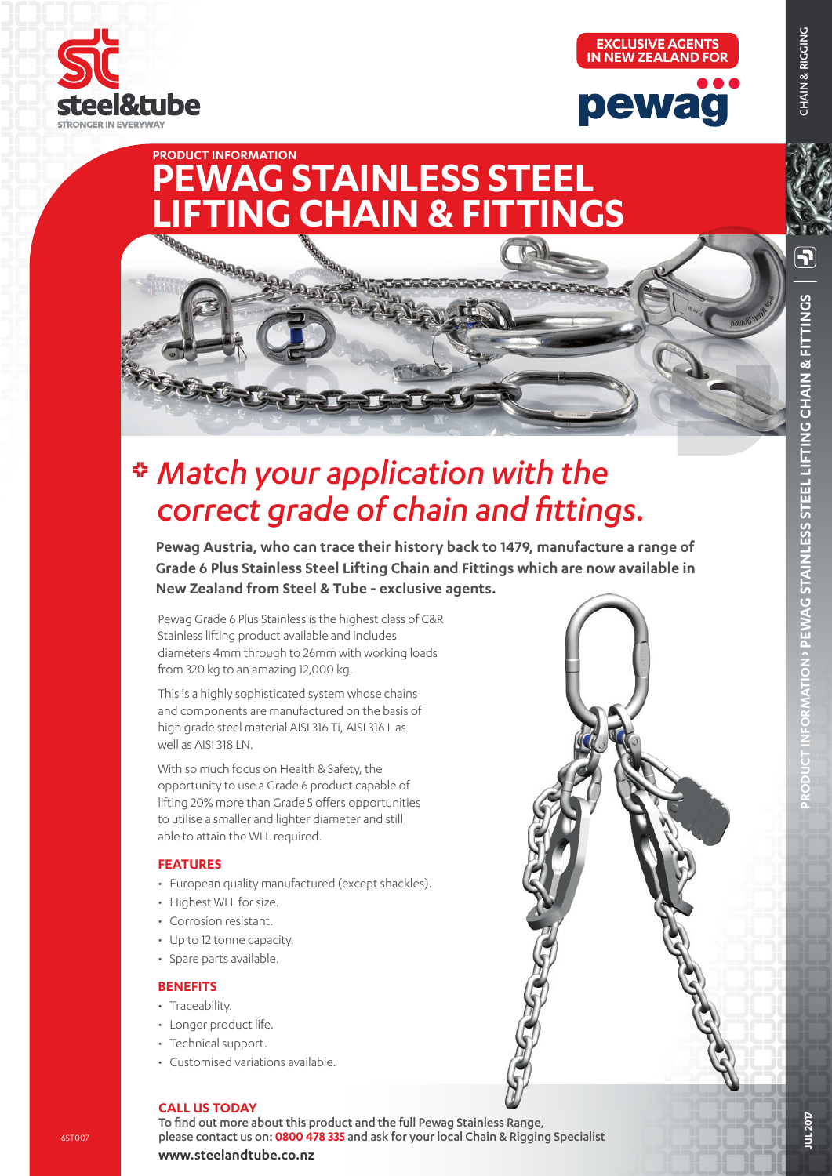

**PRODUCT INFORMATION**

**CONSIGURATION** 





# *Match your application with the correct grade of chain and fittings.*

**PEWAG STAINLESS STEEL**

**FTING CHAIN & FITTINGS** 

**Pewag Austria, who can trace their history back to 1479, manufacture a range of Grade 6 Plus Stainless Steel Lifting Chain and Fittings which are now available in New Zealand from Steel & Tube - exclusive agents.**

Pewag Grade 6 Plus Stainless is the highest class of C&R Stainless lifting product available and includes diameters 4mm through to 26mm with working loads from 320 kg to an amazing 12,000 kg.

This is a highly sophisticated system whose chains and components are manufactured on the basis of high grade steel material AISI 316 Ti, AISI 316 L as well as AISI 318 LN.

With so much focus on Health & Safety, the opportunity to use a Grade 6 product capable of lifting 20% more than Grade 5 offers opportunities to utilise a smaller and lighter diameter and still able to attain the WLL required.

### **FEATURES**

- European quality manufactured (except shackles).
- Highest WLL for size.
- Corrosion resistant.
- Up to 12 tonne capacity.
- Spare parts available.

### **BENEFITS**

- Traceability.
- Longer product life.
- Technical support.
- Customised variations available.



### **CALL US TODAY**

To find out more about this product and the full Pewag Stainless Range, please contact us on: **0800 478 335** and ask for your local Chain & Rigging Specialist

**www.steelandtube.co.nz**